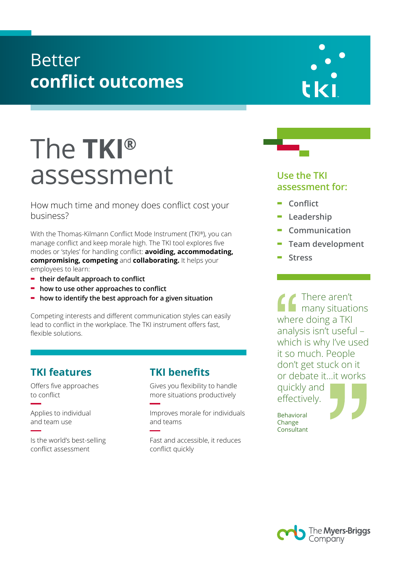## Better **conflict outcomes**

# The **TKI®** assessment

How much time and money does conflict cost your business?

With the Thomas-Kilmann Conflict Mode Instrument (TKI®), you can manage conflict and keep morale high. The TKI tool explores five modes or 'styles' for handling conflict: **avoiding, accommodating, compromising, competing** and **collaborating.** It helps your employees to learn:

- **- their default approach to conflict**
- **- how to use other approaches to conflict**
- **- how to identify the best approach for a given situation**

Competing interests and different communication styles can easily lead to conflict in the workplace. The TKI instrument offers fast, flexible solutions.

### **TKI features**

Offers five approaches to conflict

Applies to individual and team use

Is the world's best-selling conflict assessment

### **TKI benefits**

Gives you flexibility to handle more situations productively

Improves morale for individuals and teams

Fast and accessible, it reduces conflict quickly





- **- Conflict**
- **- Leadership**
- **- Communication**
- **- Team development**
- **- Stress**

There aren't many situations where doing a TKI analysis isn't useful – which is why I've used it so much. People don't get stuck on it or debate it…it works quickly and effectively.

Behavioral Change Consultant